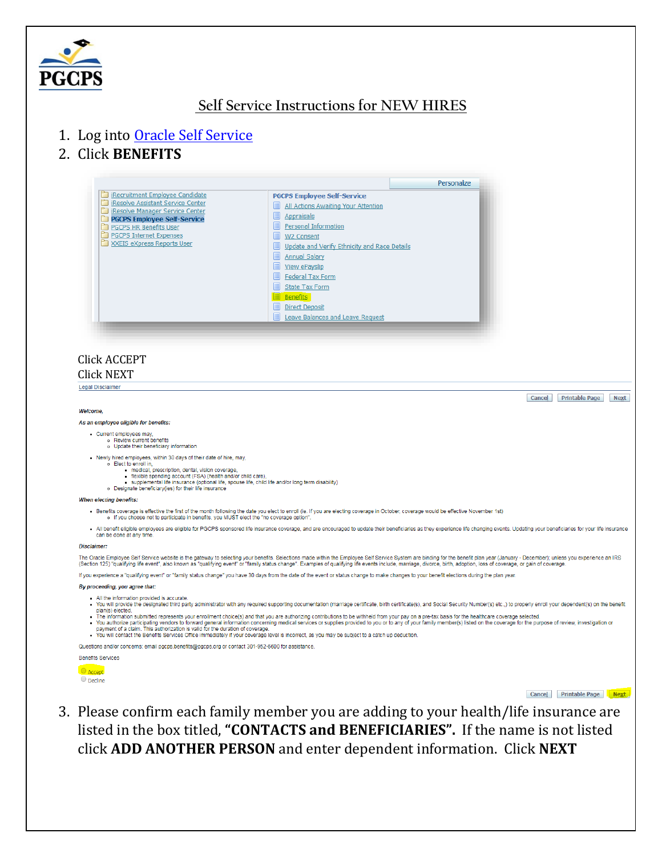

# Self Service Instructions for NEW HIRES

- 1. Log into Oracle Self Service
- 2. Click BENEFITS



### **Click ACCEPT**

### **Click NEXT**

Legal Disclaimer

#### Welcome

#### As an employee eligible for benefits:

- 
- Current employees may,<br>● Review current benefits<br>● Update their beneficiary information
- . Newly hired employees, within 30 days of their date of hire, may,
	- o Elect to enroll in
		-
	- Exercit community<br>
	flexible spending account (FSA) (health and/or child care),<br>
	flexible spending account (FSA) (health and/or child care),<br>
	supplemental life insurance (optional life, spouse life, child life and/
		-

When electing benefits:

- Benefits coverage is effective the first of the month following the date you elect to enroll (ie. If you are electing coverage in October, coverage would be effective November 1st)<br>• If you choose not to participate in
	-

. All benefit eligible employees are eligible for PGCPS sponsored life insurance coverage, and are encouraged to update their beneficiaries as they experience life changing events. Updating your beneficiaries for your life

#### Disclaimer:

The Oracle Employee Self Service website is the gateway to selecting your benefits. Selections made within the Employee Self Service System are binding for the benefit plan year (January - December); unless you experience

If you experience a "qualifying event" or "family status change" you have 30 days from the date of the event or status change to make changes to your benefit elections during the plan year.

#### By proceeding, you agree that:

- . All the information provided is accurate.
- You will provide the designated third party administrator with any required supporting documentation (marriage certificate, birth certificate(s), and Social Security Number(s) etc..) to properly enroll your dependent(s) on plan(s) elected.<br>The information submitted represents your enrollment choice(s) and that you are authorizing contributions to be withheld from your pay on a pre-tax basis for the healthcare coverage selected.
- The information is authorized represents you are the duration concerning medical services or supplies provided to you or to any of your family member(s) listed on the coverage for the purpose of review, investigation or
- 

Questions and/or concerns: email pgcps.benefits@pgcps.org or contact 301-952-6600 for assistance



Cancel Printable Page Next

Cancel Printable Page Next

3. Please confirm each family member you are adding to your health/life insurance are listed in the box titled, "CONTACTS and BENEFICIARIES". If the name is not listed click ADD ANOTHER PERSON and enter dependent information. Click NEXT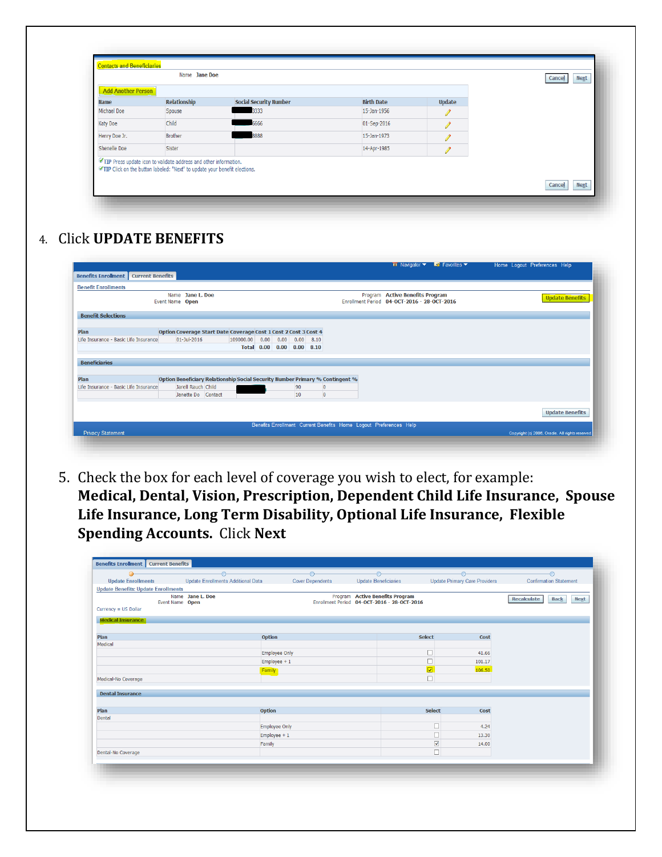| <b>Add Another Person</b> |                |                               |                   |               |  |
|---------------------------|----------------|-------------------------------|-------------------|---------------|--|
| <b>Name</b>               | Relationship   | <b>Social Security Number</b> | <b>Birth Date</b> | <b>Update</b> |  |
| <b>Michael Doe</b>        | Spouse         | 3333                          | 15-Jan-1956       |               |  |
| Katy Doe                  | Child          | 6666                          | 01-Sep-2016       |               |  |
| Henry Doe Jr.             | <b>Brother</b> | 8888                          | 15-Jan-1973       |               |  |
| <b>Shenelle Doe</b>       | Sister         |                               | 14-Apr-1985       |               |  |

4. Click **UPDATE BENEFITS**

|                                             |                                                                               |                |                           |                    |                                  |  | $\blacksquare$ Navigator $\blacktriangleright$ EX Favorites $\blacktriangleright$ | Home Logout Preferences Help                     |
|---------------------------------------------|-------------------------------------------------------------------------------|----------------|---------------------------|--------------------|----------------------------------|--|-----------------------------------------------------------------------------------|--------------------------------------------------|
| <b>Benefits Enrollment</b> Current Benefits |                                                                               |                |                           |                    |                                  |  |                                                                                   |                                                  |
| <b>Benefit Enrollments</b>                  |                                                                               |                |                           |                    |                                  |  |                                                                                   |                                                  |
|                                             | Name Jane L. Doe<br>Event Name Open                                           |                |                           |                    |                                  |  | Program Active Benefits Program<br>Enrollment Period 04-OCT-2016 - 28-OCT-2016    | <b>Update Benefits</b>                           |
| <b>Benefit Selections</b>                   |                                                                               |                |                           |                    |                                  |  |                                                                                   |                                                  |
| Plan                                        | Option Coverage Start Date Coverage Cost 1 Cost 2 Cost 3 Cost 4               |                |                           |                    |                                  |  |                                                                                   |                                                  |
| Life Insurance - Basic Life Insurance       | $01 - 10 - 2016$                                                              | 109000.00 0.00 | Total 0.00 0.00 0.00 8.10 | $0.00$ $0.00$ 8.10 |                                  |  |                                                                                   |                                                  |
| <b>Beneficiaries</b>                        |                                                                               |                |                           |                    |                                  |  |                                                                                   |                                                  |
| Plan                                        | Option Beneficiary Relationship Social Security Number Primary % Contingent % |                |                           |                    |                                  |  |                                                                                   |                                                  |
| Life Insurance - Basic Life Insurance       | Jarell Rauch Child<br>Janette Do Contact                                      |                |                           | 90<br>10           | $\overline{0}$<br>$\overline{0}$ |  |                                                                                   |                                                  |
|                                             |                                                                               |                |                           |                    |                                  |  |                                                                                   | <b>Update Benefits</b>                           |
|                                             |                                                                               |                |                           |                    |                                  |  | Benefits Enrollment Current Benefits Home Logout Preferences Help                 |                                                  |
| <b>Privacy Statement</b>                    |                                                                               |                |                           |                    |                                  |  |                                                                                   | Copyright (c) 2006, Oracle. All rights reserved. |

5. Check the box for each level of coverage you wish to elect, for example: **Medical, Dental, Vision, Prescription, Dependent Child Life Insurance, Spouse Life Insurance, Long Term Disability, Optional Life Insurance, Flexible Spending Accounts.** Click **Next**

|                                            | $\bigcirc$                         | $\bigcirc$              | $\rightarrow$                                                                  |                         | $\bigcap$                     | -0                                |             |
|--------------------------------------------|------------------------------------|-------------------------|--------------------------------------------------------------------------------|-------------------------|-------------------------------|-----------------------------------|-------------|
| <b>Update Enrollments</b>                  | Update Enrollments Additional Data | <b>Cover Dependents</b> | <b>Update Beneficiaries</b>                                                    |                         | Update Primary Care Providers | <b>Confirmation Statement</b>     |             |
| <b>Update Benefits: Update Enrollments</b> |                                    |                         |                                                                                |                         |                               |                                   |             |
| Name Jane L. Doe<br>Event Name Open        |                                    |                         | Program Active Benefits Program<br>Enrollment Period 04-OCT-2016 - 28-OCT-2016 |                         |                               | <b>Back</b><br><b>Recalculate</b> | <b>Next</b> |
| Currency = US Dollar                       |                                    |                         |                                                                                |                         |                               |                                   |             |
| <b>Medical Insurance</b>                   |                                    |                         |                                                                                |                         |                               |                                   |             |
|                                            |                                    |                         |                                                                                |                         |                               |                                   |             |
| Plan                                       | <b>Option</b>                      |                         |                                                                                | Select                  | Cost                          |                                   |             |
| Medical                                    |                                    |                         |                                                                                |                         |                               |                                   |             |
|                                            | <b>Employee Only</b>               |                         |                                                                                |                         | 41.66                         |                                   |             |
|                                            | $Employee + 1$                     |                         |                                                                                |                         | 101.17                        |                                   |             |
|                                            | Family                             |                         |                                                                                | $\overline{\mathbf{v}}$ | 106.50                        |                                   |             |
| Medical-No Coverage                        |                                    |                         |                                                                                | г                       |                               |                                   |             |
|                                            |                                    |                         |                                                                                |                         |                               |                                   |             |
| <b>Dental Insurance</b>                    |                                    |                         |                                                                                |                         |                               |                                   |             |
| Plan                                       | <b>Option</b>                      |                         |                                                                                | Select                  | Cost                          |                                   |             |
| Dental                                     |                                    |                         |                                                                                |                         |                               |                                   |             |
|                                            | <b>Employee Only</b>               |                         |                                                                                | □                       | 4.24                          |                                   |             |
|                                            | $Employee + 1$                     |                         |                                                                                | □                       | 13.30                         |                                   |             |
|                                            | Family                             |                         |                                                                                | $\blacktriangledown$    | 14.00                         |                                   |             |
| Dental-No Coverage                         |                                    |                         |                                                                                | $\Box$                  |                               |                                   |             |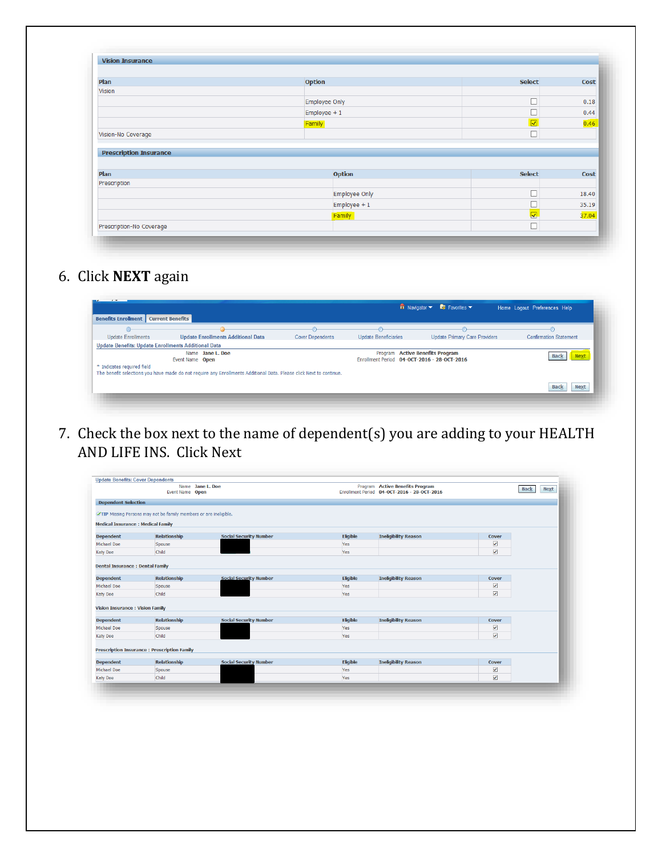| <b>Vision Insurance</b>       |                      |                                 |       |
|-------------------------------|----------------------|---------------------------------|-------|
|                               |                      |                                 |       |
| Plan                          | <b>Option</b>        | <b>Select</b>                   | Cost  |
| <b>Vision</b>                 |                      |                                 |       |
|                               | Employee Only        |                                 | 0.18  |
|                               | Employee $+1$        |                                 | 0.44  |
|                               | Family               | $\overline{\blacktriangledown}$ | 0.46  |
|                               |                      |                                 |       |
|                               |                      | □                               |       |
| Vision-No Coverage            |                      |                                 |       |
| <b>Prescription Insurance</b> |                      |                                 |       |
|                               |                      |                                 |       |
| Plan                          | <b>Option</b>        | <b>Select</b>                   | Cost  |
|                               |                      |                                 |       |
| Prescription                  | <b>Employee Only</b> |                                 | 18.40 |
|                               | $Employee + 1$       |                                 | 35.19 |
|                               | Family               | $\overline{\mathbf{v}}$         | 37.04 |

6. Click **NEXT** again

| <b>Update Enrollments</b>                           | <b>Update Enrollments Additional Data</b>                                                                           | <b>Cover Dependents</b> | <b>Update Beneficiaries</b>                                                    | <b>Update Primary Care Providers</b> | <b>Confirmation Statement</b> |
|-----------------------------------------------------|---------------------------------------------------------------------------------------------------------------------|-------------------------|--------------------------------------------------------------------------------|--------------------------------------|-------------------------------|
| Update Benefits: Update Enrollments Additional Data |                                                                                                                     |                         |                                                                                |                                      |                               |
|                                                     | Name Jane L. Doe<br>Event Name Open                                                                                 |                         | Program Active Benefits Program<br>Enrollment Period 04-OCT-2016 - 28-OCT-2016 |                                      | <b>Nex</b>                    |
| * Indicates required field                          | The benefit selections you have made do not require any Enrollments Additional Data. Please click Next to continue. |                         |                                                                                |                                      |                               |

7. Check the box next to the name of dependent(s) you are adding to your HEALTH AND LIFE INS. Click Next

|                                           | Name Jane L. Doe<br>Event Name Open                              |                               |                 | Program Active Benefits Program<br>Enrollment Period 04-OCT-2016 - 28-OCT-2016 |                         | <b>Next</b><br><b>Back</b> |
|-------------------------------------------|------------------------------------------------------------------|-------------------------------|-----------------|--------------------------------------------------------------------------------|-------------------------|----------------------------|
| <b>Dependent Selection</b>                |                                                                  |                               |                 |                                                                                |                         |                            |
|                                           | TIP Missing Persons may not be family members or are ineligible. |                               |                 |                                                                                |                         |                            |
| <b>Medical Insurance : Medical Family</b> |                                                                  |                               |                 |                                                                                |                         |                            |
| <b>Dependent</b>                          | <b>Relationship</b>                                              | <b>Social Security Number</b> | Eligible        | <b>Ineligibility Reason</b>                                                    | Cover                   |                            |
| Michael Doe                               | Spouse                                                           |                               | Yes             |                                                                                | $\overline{\mathbf{v}}$ |                            |
| <b>Katy Doe</b>                           | Child                                                            |                               | Yes             |                                                                                | ⊽                       |                            |
|                                           |                                                                  |                               |                 |                                                                                |                         |                            |
| <b>Dental Insurance : Dental Family</b>   |                                                                  |                               |                 |                                                                                |                         |                            |
| <b>Dependent</b>                          | <b>Relationship</b>                                              | <b>Social Security Number</b> | Eligible        | <b>Ineligibility Reason</b>                                                    | Cover                   |                            |
| Michael Doe                               | Spouse                                                           |                               | Yes             |                                                                                | $\blacktriangledown$    |                            |
| <b>Katy Doe</b>                           | Child                                                            |                               | Yes             |                                                                                | $\overline{\mathbf{v}}$ |                            |
|                                           |                                                                  |                               |                 |                                                                                |                         |                            |
| <b>Vision Insurance : Vision Family</b>   |                                                                  |                               |                 |                                                                                |                         |                            |
| <b>Dependent</b>                          | <b>Relationship</b>                                              | <b>Social Security Number</b> | Eligible        | <b>Ineligibility Reason</b>                                                    | Cover                   |                            |
| Michael Doe                               | Spouse                                                           |                               | Yes             |                                                                                | ✔                       |                            |
| <b>Katy Doe</b>                           | Child                                                            |                               | Yes             |                                                                                | $\blacktriangledown$    |                            |
|                                           |                                                                  |                               |                 |                                                                                |                         |                            |
|                                           | <b>Prescription Insurance : Prescription Family</b>              |                               |                 |                                                                                |                         |                            |
| <b>Dependent</b>                          | <b>Relationship</b>                                              | <b>Social Security Number</b> | <b>Eligible</b> | <b>Ineligibility Reason</b>                                                    | Cover                   |                            |
| Michael Doe                               | Spouse                                                           |                               | Yes             |                                                                                | $\blacktriangledown$    |                            |
| <b>Katy Doe</b>                           | Child                                                            |                               | Yes             |                                                                                | $\blacktriangledown$    |                            |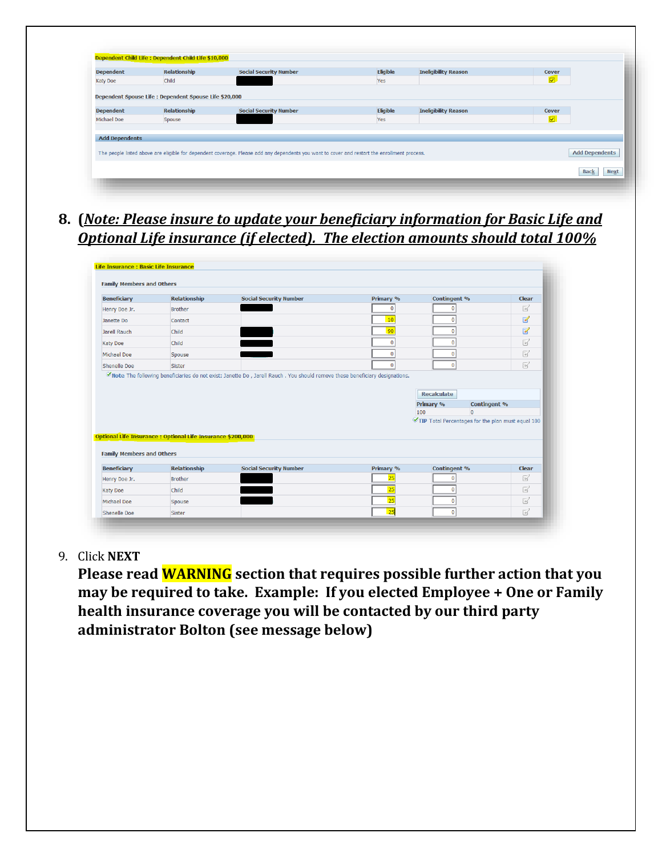| <b>Dependent</b>      | <b>Relationship</b> | <b>Social Security Number</b>                                                                                                                | Eligible | <b>Ineligibility Reason</b> | Cover                   |                       |
|-----------------------|---------------------|----------------------------------------------------------------------------------------------------------------------------------------------|----------|-----------------------------|-------------------------|-----------------------|
| <b>Katy Doe</b>       | Child               |                                                                                                                                              | Yes      |                             | $\overline{\mathbf{z}}$ |                       |
| <b>Michael Doe</b>    | Spouse              |                                                                                                                                              | Yes      |                             | $\overline{\mathbf{v}}$ |                       |
|                       |                     |                                                                                                                                              |          |                             |                         |                       |
| <b>Add Dependents</b> |                     |                                                                                                                                              |          |                             |                         |                       |
|                       |                     |                                                                                                                                              |          |                             |                         |                       |
|                       |                     | The people listed above are eligible for dependent coverage. Please add any dependents you want to cover and restart the enrollment process. |          |                             |                         | <b>Add Dependents</b> |

**8. (***Note: Please insure to update your beneficiary information for Basic Life and Optional Life insurance (if elected). The election amounts should total 100%*

| <b>Beneficiary</b>                                                                                        | <b>Relationship</b>                                                | <b>Social Security Number</b> | Primary % | Contingent %                    |                                                   | <b>Clear</b>             |
|-----------------------------------------------------------------------------------------------------------|--------------------------------------------------------------------|-------------------------------|-----------|---------------------------------|---------------------------------------------------|--------------------------|
| Henry Doe Jr.                                                                                             | Brother                                                            |                               | $\bf{0}$  | 0                               |                                                   | 図                        |
| Janette Do                                                                                                | Contact                                                            |                               | 10        | 0                               |                                                   | Ø                        |
| Jarell Rauch                                                                                              | Child                                                              |                               | 90        | 0                               |                                                   | $\overline{\mathscr{L}}$ |
| <b>Katy Doe</b>                                                                                           | Child                                                              |                               | $\bf{0}$  | 0                               |                                                   | $\mathbb{R}$             |
| Michael Doe                                                                                               | Spouse                                                             |                               | $\bf{0}$  | 0                               |                                                   | $\mathbb{R}^2$           |
| Shenelle Doe                                                                                              | Sister                                                             |                               | $\bf{0}$  | n                               |                                                   | $\mathbb{R}$             |
|                                                                                                           |                                                                    |                               |           | Recalculate<br>Primary %<br>100 | Contingent %<br>$\overline{0}$                    |                          |
|                                                                                                           |                                                                    |                               |           |                                 | TIP Total Percentages for the plan must equal 100 |                          |
|                                                                                                           | <b>Optional Life Insurance : Optional Life Insurance \$200,000</b> |                               |           |                                 |                                                   |                          |
|                                                                                                           | <b>Relationship</b>                                                | <b>Social Security Number</b> | Primary % | Contingent %                    |                                                   | Clear                    |
|                                                                                                           | Brother                                                            |                               | 25        | 0                               |                                                   | $\mathbb{R}^2$           |
|                                                                                                           | Child                                                              |                               | 25        | 0                               |                                                   | R                        |
| <b>Family Members and Others</b><br><b>Beneficiary</b><br>Henry Doe Jr.<br><b>Katy Doe</b><br>Michael Doe | Spouse                                                             |                               | 25        | 0                               |                                                   | Ø                        |

9. Click **NEXT**

**Please read WARNING section that requires possible further action that you may be required to take. Example: If you elected Employee + One or Family health insurance coverage you will be contacted by our third party administrator Bolton (see message below)**